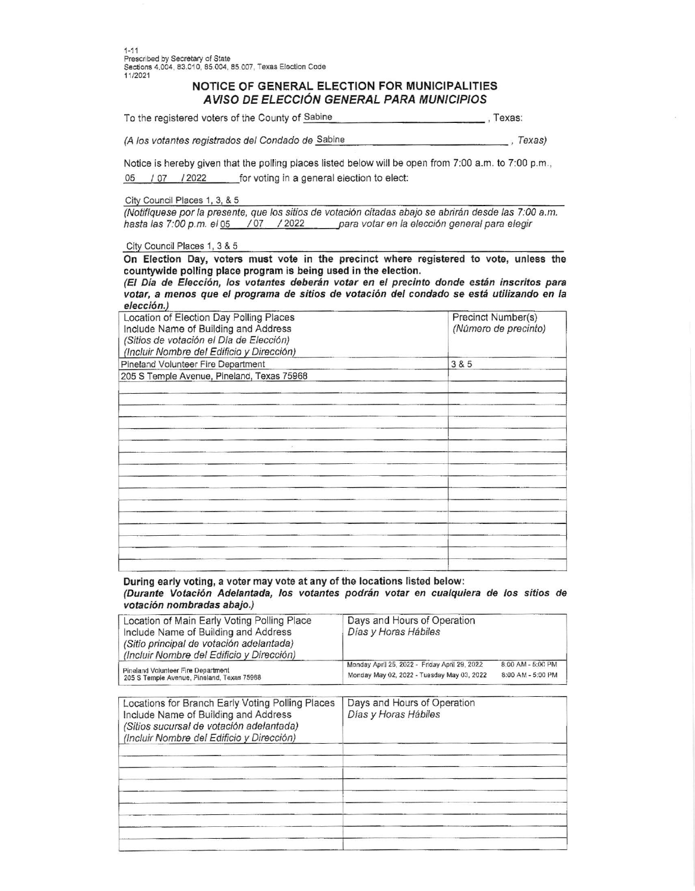Prescribed by Secretary of State Sections 4,004, 83.010, 85.004, 85.007, Texas Election Code 11/2021

## NOTICE OF GENERAL ELECTION FOR MUNICIPALITIES AVISO DE ELECCIÓN GENERAL PARA MUNICIPIOS

To the registered voters of the County of Sabine  $T$ exas:

(A los votantes registrados del Condado de Sabine  $-$ , Texas)

Notice is hereby given that the polling places listed below will be open from 7:00 a.m. to 7:00 p.m., 05 / 07 / 2022 for voting in a general election to elect:

City Council Places 1, 3, & 5

(Notifiquese por la presente, que los sitios de votación citadas abajo se abrirán desde las 7:00 a.m. hasta las 7:00 p.m. el 05 / 07 / 2022 para votar en la elección general para elegir

City Council Places 1, 3 & 5

On Election Day, voters must vote in the precinct where registered to vote, unless the countywide polling place program is being used in the election.

(El Día de Elección, los votantes deberán votar en el precinto donde están inscritos para votar, a menos que el programa de sitios de votación del condado se está utilizando en la elección.)

| Location of Election Day Polling Places<br>Include Name of Building and Address<br>(Sitios de votación el Día de Elección)<br>(Incluir Nombre del Edificio y Dirección) | Precinct Number(s)<br>(Número de precinto) |
|-------------------------------------------------------------------------------------------------------------------------------------------------------------------------|--------------------------------------------|
| Pineland Volunteer Fire Department                                                                                                                                      | 3 & 5                                      |
| 205 S Temple Avenue, Pineland, Texas 75968                                                                                                                              |                                            |
|                                                                                                                                                                         |                                            |
|                                                                                                                                                                         |                                            |
|                                                                                                                                                                         |                                            |
|                                                                                                                                                                         |                                            |
|                                                                                                                                                                         |                                            |
|                                                                                                                                                                         |                                            |
|                                                                                                                                                                         |                                            |
|                                                                                                                                                                         |                                            |
|                                                                                                                                                                         |                                            |
|                                                                                                                                                                         |                                            |
|                                                                                                                                                                         |                                            |
|                                                                                                                                                                         |                                            |
|                                                                                                                                                                         |                                            |
|                                                                                                                                                                         |                                            |
|                                                                                                                                                                         |                                            |
|                                                                                                                                                                         |                                            |

During early voting, a voter may vote at any of the locations listed below: (Durante Votación Adelantada, los votantes podrán votar en cualquiera de los sitios de votación nombradas abajo.)

| Location of Main Early Voting Polling Place<br>Include Name of Building and Address<br>(Sitio principal de votación adelantada)<br>(Incluir Nombre del Edificio y Dirección) | Days and Hours of Operation<br>Días y Horas Hábiles |                   |
|------------------------------------------------------------------------------------------------------------------------------------------------------------------------------|-----------------------------------------------------|-------------------|
| Pineland Volunteer Fire Department                                                                                                                                           | Monday April 25, 2022 - Friday April 29, 2022       | 8:00 AM - 5:00 PM |
| 205 S Temple Avenue, Pineland, Texas 75968                                                                                                                                   | Monday May 02, 2022 - Tuesday May 03, 2022          | 8:00 AM - 5:00 PM |

| Locations for Branch Early Voting Polling Places<br>Include Name of Building and Address<br>(Sitios sucursal de votación adelantada)<br>(Incluir Nombre del Edificio y Dirección) | Days and Hours of Operation<br>Días y Horas Hábiles |  |  |
|-----------------------------------------------------------------------------------------------------------------------------------------------------------------------------------|-----------------------------------------------------|--|--|
|                                                                                                                                                                                   |                                                     |  |  |
|                                                                                                                                                                                   |                                                     |  |  |
|                                                                                                                                                                                   |                                                     |  |  |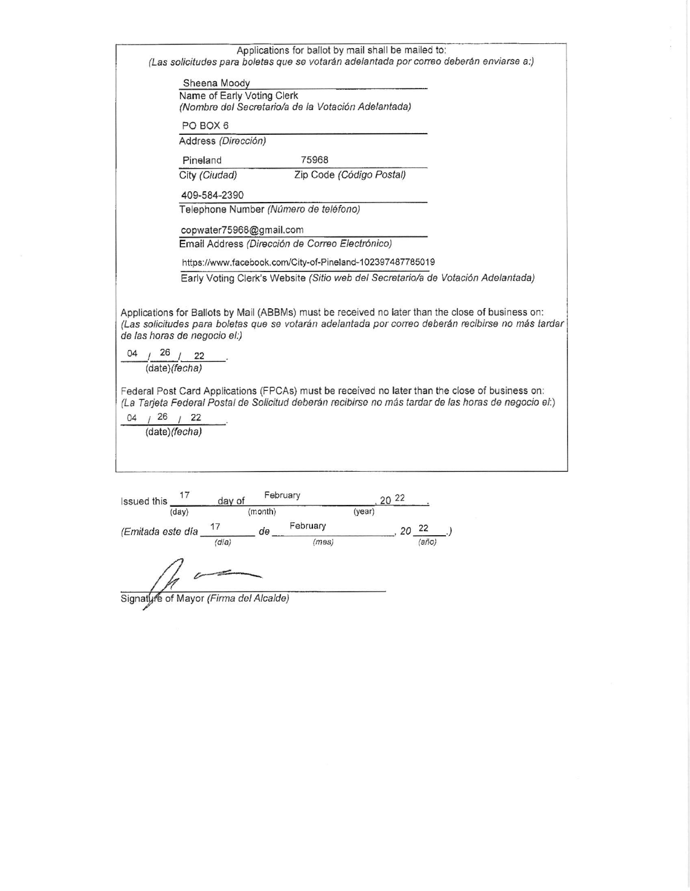| Applications for ballot by mail shall be mailed to:<br>(Las solicitudes para boletas que se votarán adelantada por correo deberán enviarse a:)                                                                                          |
|-----------------------------------------------------------------------------------------------------------------------------------------------------------------------------------------------------------------------------------------|
| Sheena Moody                                                                                                                                                                                                                            |
| Name of Early Voting Clerk                                                                                                                                                                                                              |
| (Nombre del Secretario/a de la Votación Adelantada)                                                                                                                                                                                     |
| PO BOX 6                                                                                                                                                                                                                                |
| Address (Dirección)                                                                                                                                                                                                                     |
| Pineland<br>75968                                                                                                                                                                                                                       |
| Zip Code (Código Postal)<br>City (Ciudad)                                                                                                                                                                                               |
| 409-584-2390                                                                                                                                                                                                                            |
| Telephone Number (Número de teléfono)                                                                                                                                                                                                   |
| copwater75968@gmail.com                                                                                                                                                                                                                 |
| Email Address (Dirección de Correo Electrónico)                                                                                                                                                                                         |
| https://www.facebook.com/City-of-Pineland-102397487785019                                                                                                                                                                               |
| Early Voting Clerk's Website (Sitio web del Secretario/a de Votación Adelantada)                                                                                                                                                        |
| Applications for Ballots by Mail (ABBMs) must be received no later than the close of business on:<br>(Las solicitudes para boletas que se votarán adelantada por correo deberán recibirse no más tardar<br>de las horas de negocio el:) |
| 04<br>(date)(fecha)                                                                                                                                                                                                                     |
| Federal Post Card Applications (FPCAs) must be received no later than the close of business on:<br>(La Tarjeta Federal Postal de Solicitud deberán recibirse no más tardar de las horas de negocio el:)<br>126<br>(date)(fecha)         |
|                                                                                                                                                                                                                                         |
| February<br>20 22<br><b>Issued this</b><br>day of<br>(month)<br>(dav)<br>(vear)                                                                                                                                                         |

 $\overline{z}$ 

| issued this                            | day of |         |          |        | $20 - 4$ |       |  |
|----------------------------------------|--------|---------|----------|--------|----------|-------|--|
| (day)                                  |        | (month) |          | (year) |          |       |  |
| (Emitada este día                      | 17     | de      | February |        | 20       | 22    |  |
|                                        | (día)  |         | (mes)    |        |          | (año) |  |
| Signature of Mayor (Firma del Alcalde) |        |         |          |        |          |       |  |

Signatyre of Mayor *(Firma del Alcalde)*